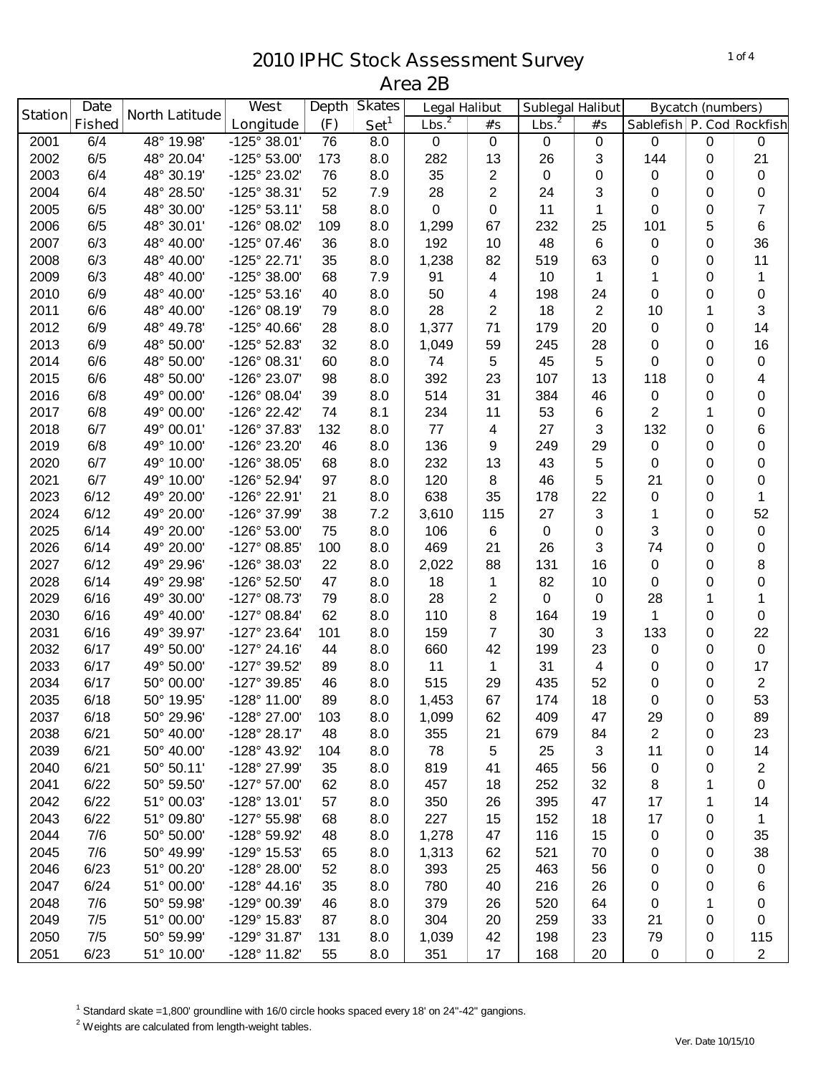|                | <b>Date</b>   |                       | West                  | <b>Depth</b> | <b>Skates</b>    | <b>Legal Halibut</b> |                         | <b>Sublegal Halibut</b> |                | <b>Bycatch (numbers)</b> |   |                         |
|----------------|---------------|-----------------------|-----------------------|--------------|------------------|----------------------|-------------------------|-------------------------|----------------|--------------------------|---|-------------------------|
| <b>Station</b> | <b>Fished</b> | <b>North Latitude</b> | Longitude             | (F)          | Set <sup>1</sup> | Lbs. <sup>2</sup>    | #'s                     | Lbs. <sup>2</sup>       | #'s            | <b>Sablefish</b>         |   | P. Cod Rockfish         |
| 2001           | 6/4           | 48° 19.98'            | $-125^{\circ}$ 38.01' | 76           | 8.0              | $\pmb{0}$            | $\pmb{0}$               | 0                       | $\pmb{0}$      | $\pmb{0}$                | 0 | 0                       |
| 2002           | 6/5           | 48° 20.04'            | -125° 53.00'          | 173          | 8.0              | 282                  | 13                      | 26                      | 3              | 144                      | 0 | 21                      |
| 2003           | 6/4           | 48° 30.19'            | -125° 23.02'          | 76           | 8.0              | 35                   | 2                       | 0                       | 0              | 0                        | 0 | $\pmb{0}$               |
| 2004           | 6/4           | 48° 28.50'            | -125° 38.31'          | 52           | 7.9              | 28                   | 2                       | 24                      | 3              | 0                        | 0 | 0                       |
| 2005           | 6/5           | 48° 30.00'            | $-125^{\circ}53.11'$  | 58           | 8.0              | 0                    | 0                       | 11                      | 1              | 0                        | 0 | $\overline{7}$          |
| 2006           | 6/5           | 48° 30.01'            | -126° 08.02'          | 109          | 8.0              | 1,299                | 67                      | 232                     | 25             | 101                      | 5 | 6                       |
| 2007           | 6/3           | 48° 40.00'            | $-125^{\circ}$ 07.46  | 36           | 8.0              | 192                  | 10                      | 48                      | 6              | 0                        | 0 | 36                      |
| 2008           | 6/3           | 48° 40.00'            | -125° 22.71'          | 35           | 8.0              | 1,238                | 82                      | 519                     | 63             | 0                        | 0 | 11                      |
| 2009           | 6/3           | 48° 40.00'            | -125° 38.00'          | 68           | 7.9              | 91                   | 4                       | 10                      | 1              | 1                        | 0 | 1                       |
| 2010           | 6/9           | 48° 40.00'            | $-125°53.16'$         | 40           | 8.0              | 50                   | 4                       | 198                     | 24             | 0                        | 0 | 0                       |
| 2011           | 6/6           | 48° 40.00'            | $-126°08.19'$         | 79           | 8.0              | 28                   | 2                       | 18                      | $\overline{2}$ | 10                       | 1 | $\mathfrak{S}$          |
| 2012           | 6/9           | 48° 49.78'            | $-125^{\circ}$ 40.66' | 28           | 8.0              | 1,377                | 71                      | 179                     | 20             | 0                        | 0 | 14                      |
| 2013           | 6/9           | 48° 50.00'            | -125° 52.83'          | 32           | 8.0              | 1,049                | 59                      | 245                     | 28             | 0                        | 0 | 16                      |
| 2014           | 6/6           | 48° 50.00'            | -126° 08.31'          | 60           | 8.0              | 74                   | 5                       | 45                      | 5              | 0                        | 0 | 0                       |
| 2015           | 6/6           | 48° 50.00'            | -126° 23.07'          | 98           | 8.0              | 392                  | 23                      | 107                     | 13             | 118                      | 0 | $\overline{\mathbf{4}}$ |
| 2016           | 6/8           | 49° 00.00'            | $-126^{\circ}$ 08.04' | 39           | 8.0              | 514                  | 31                      | 384                     | 46             | 0                        | 0 | 0                       |
| 2017           | 6/8           | 49° 00.00'            | $-126^{\circ} 22.42'$ | 74           | 8.1              | 234                  | 11                      | 53                      | 6              | 2                        | 1 | 0                       |
| 2018           | 6/7           | 49° 00.01'            | -126° 37.83'          | 132          | 8.0              | 77                   | 4                       | 27                      | 3              | 132                      | 0 | 6                       |
| 2019           | 6/8           | 49° 10.00'            | -126° 23.20'          | 46           | 8.0              | 136                  | 9                       | 249                     | 29             | 0                        | 0 | $\mathbf 0$             |
| 2020           | 6/7           | 49° 10.00'            | -126° 38.05'          | 68           | 8.0              | 232                  | 13                      | 43                      | 5              | 0                        | 0 | 0                       |
| 2021           | 6/7           | 49° 10.00'            | -126° 52.94'          | 97           | 8.0              | 120                  | 8                       | 46                      | 5              | 21                       | 0 | 0                       |
| 2023           | 6/12          | 49° 20.00'            | -126° 22.91'          | 21           | 8.0              | 638                  | 35                      | 178                     | 22             | 0                        | 0 | 1                       |
| 2024           | 6/12          | 49° 20.00'            | -126° 37.99'          | 38           | 7.2              | 3,610                | 115                     | 27                      | 3              | 1                        | 0 | 52                      |
| 2025           | 6/14          | 49° 20.00'            | -126° 53.00'          | 75           | 8.0              | 106                  | 6                       | 0                       | 0              | 3                        | 0 | $\pmb{0}$               |
| 2026           | 6/14          | 49° 20.00'            | -127° 08.85'          | 100          | 8.0              | 469                  | 21                      | 26                      | 3              | 74                       | 0 | 0                       |
| 2027           | 6/12          | 49° 29.96'            | -126° 38.03'          | 22           | 8.0              | 2,022                | 88                      | 131                     | 16             | 0                        | 0 | 8                       |
| 2028           | 6/14          | 49° 29.98'            | -126° 52.50'          | 47           | 8.0              | 18                   | 1                       | 82                      | 10             | 0                        | 0 | $\mathbf 0$             |
| 2029           | 6/16          | 49° 30.00'            | -127° 08.73'          | 79           | 8.0              | 28                   | $\overline{\mathbf{c}}$ | 0                       | 0              | 28                       | 1 | 1                       |
| 2030           | 6/16          | 49° 40.00'            | $-127^{\circ}$ 08.84' | 62           | 8.0              | 110                  | 8                       | 164                     | 19             | 1                        | 0 | $\pmb{0}$               |
| 2031           | 6/16          | 49° 39.97'            | $-127^{\circ} 23.64'$ | 101          | 8.0              | 159                  | 7                       | 30                      | 3              | 133                      | 0 | 22                      |
| 2032           | 6/17          | 49° 50.00'            | $-127°$ 24.16'        | 44           | 8.0              | 660                  | 42                      | 199                     | 23             | 0                        | 0 | $\pmb{0}$               |
| 2033           | 6/17          | 49° 50.00'            | -127° 39.52'          | 89           | 8.0              | 11                   | 1                       | 31                      | 4              | 0                        | 0 | 17                      |
| 2034           | 6/17          | 50° 00.00'            | -127° 39.85'          | 46           | 8.0              | 515                  | 29                      | 435                     | 52             | 0                        | 0 | $\mathbf{2}$            |
| 2035           | 6/18          | 50° 19.95'            | $-128^{\circ}$ 11.00' | 89           | 8.0              | 1,453                | 67                      | 174                     | 18             | 0                        | 0 | 53                      |
| 2037           | 6/18          | 50° 29.96'            | -128° 27.00'          | 103          | 8.0              | 1,099                | 62                      | 409                     | 47             | 29                       | 0 | 89                      |
| 2038           | 6/21          | 50° 40.00'            | $-128°28.17'$         | 48           | 8.0              | 355                  | 21                      | 679                     | 84             | 2                        | 0 | 23                      |
| 2039           | 6/21          | 50° 40.00'            | -128° 43.92'          | 104          | 8.0              | 78                   | 5                       | 25                      | 3              | 11                       | 0 | 14                      |
| 2040           | 6/21          | 50° 50.11'            | -128° 27.99'          | 35           | 8.0              | 819                  | 41                      | 465                     | 56             | 0                        | 0 | $\overline{\mathbf{c}}$ |
| 2041           | 6/22          | 50° 59.50'            | $-127^{\circ}$ 57.00  | 62           | 8.0              | 457                  | 18                      | 252                     | 32             | 8                        | 1 | 0                       |
| 2042           | 6/22          | 51° 00.03'            | $-128°13.01'$         | 57           | 8.0              | 350                  | 26                      | 395                     | 47             | 17                       | 1 | 14                      |
| 2043           | 6/22          | 51° 09.80'            | -127° 55.98'          | 68           | 8.0              | 227                  | 15                      | 152                     | 18             | 17                       | 0 | $\mathbf 1$             |
| 2044           | 7/6           | 50° 50.00'            | -128° 59.92'          | 48           | 8.0              | 1,278                | 47                      | 116                     | 15             | 0                        | 0 | 35                      |
| 2045           | 7/6           | 50° 49.99'            | -129° 15.53'          | 65           | 8.0              | 1,313                | 62                      | 521                     | 70             | 0                        | 0 | 38                      |
| 2046           | 6/23          | 51° 00.20'            | -128° 28.00'          | 52           | 8.0              | 393                  | 25                      | 463                     | 56             | 0                        | 0 | 0                       |
| 2047           | 6/24          | 51° 00.00'            | $-128° 44.16'$        | 35           | 8.0              | 780                  | 40                      | 216                     | 26             | 0                        | 0 | 6                       |
| 2048           | 7/6           | 50° 59.98'            | -129° 00.39'          | 46           | 8.0              | 379                  | 26                      | 520                     | 64             | 0                        | 1 | 0                       |
| 2049           | 7/5           | 51° 00.00'            | -129° 15.83'          | 87           | 8.0              | 304                  | 20                      | 259                     | 33             | 21                       | 0 | 0                       |
| 2050           | 7/5           | 50° 59.99'            | -129° 31.87'          | 131          | 8.0              | 1,039                | 42                      | 198                     | 23             | 79                       | 0 | 115                     |
| 2051           | 6/23          | 51° 10.00'            | -128° 11.82'          | 55           | 8.0              | 351                  | 17                      | 168                     | 20             | 0                        | 0 | $\overline{2}$          |

Standard skate =1,800' groundline with 16/0 circle hooks spaced every 18' on 24"-42" gangions.

<sup>2</sup> Weights are calculated from length-weight tables.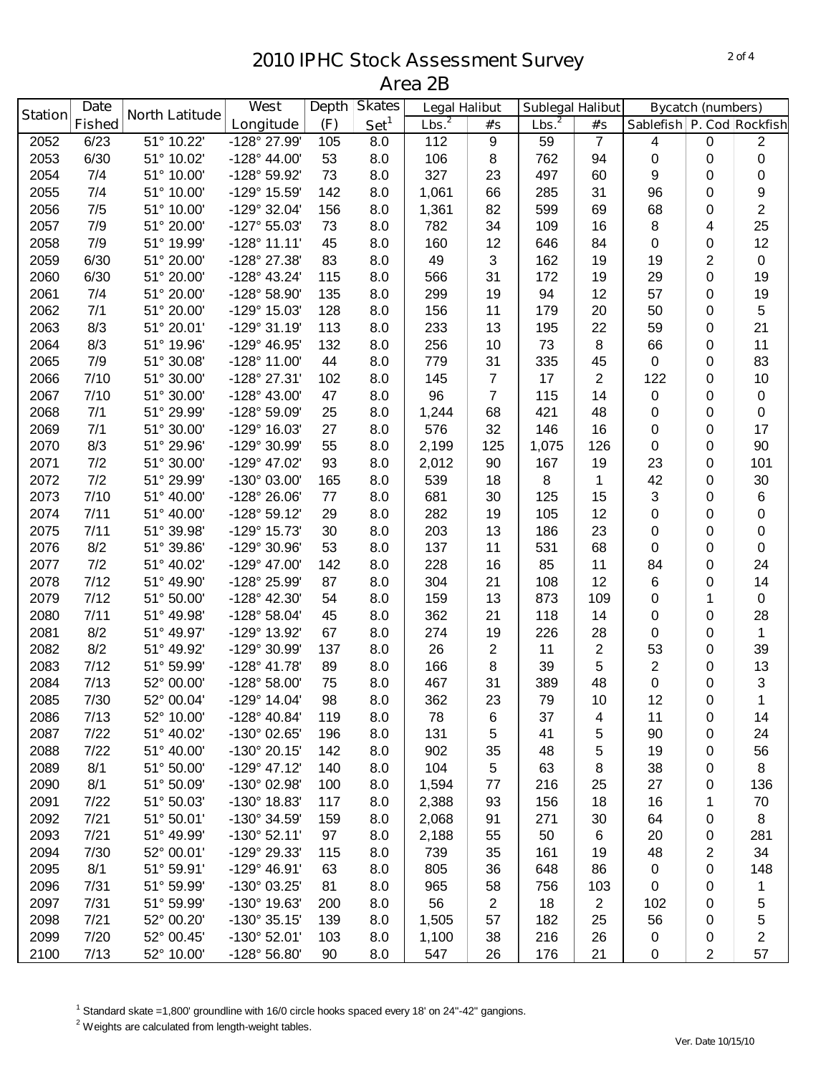|                | <b>Date</b>   |                       | West                  | <b>Depth</b> | <b>Skates</b>    | <b>Legal Halibut</b> |     | <b>Sublegal Halibut</b> |                | <b>Bycatch (numbers)</b>  |             |                         |
|----------------|---------------|-----------------------|-----------------------|--------------|------------------|----------------------|-----|-------------------------|----------------|---------------------------|-------------|-------------------------|
| <b>Station</b> | <b>Fished</b> | <b>North Latitude</b> | Longitude             | (F)          | Set <sup>1</sup> | Lbs. <sup>2</sup>    | #'s | Lbs. <sup>2</sup>       | #'s            | Sablefish P. Cod Rockfish |             |                         |
| 2052           | 6/23          | 51° 10.22'            | $-128° 27.99'$        | 105          | 8.0              | 112                  | 9   | 59                      | $\overline{7}$ | 4                         | 0           | $\overline{2}$          |
| 2053           | 6/30          | 51° 10.02'            | $-128^{\circ}$ 44.00' | 53           | 8.0              | 106                  | 8   | 762                     | 94             | 0                         | 0           | 0                       |
| 2054           | 7/4           | 51° 10.00'            | -128° 59.92'          | 73           | 8.0              | 327                  | 23  | 497                     | 60             | 9                         | 0           | 0                       |
| 2055           | 7/4           | 51° 10.00'            | -129° 15.59'          | 142          | 8.0              | 1,061                | 66  | 285                     | 31             | 96                        | 0           | 9                       |
| 2056           | 7/5           | 51° 10.00'            | -129° 32.04'          | 156          | 8.0              | 1,361                | 82  | 599                     | 69             | 68                        | 0           | $\overline{2}$          |
| 2057           | 7/9           | 51° 20.00'            | $-127^{\circ} 55.03'$ | 73           | 8.0              | 782                  | 34  | 109                     | 16             | 8                         | 4           | 25                      |
| 2058           | 7/9           | 51° 19.99'            | $-128°11.11'$         | 45           | 8.0              | 160                  | 12  | 646                     | 84             | 0                         | 0           | 12                      |
| 2059           | 6/30          | 51° 20.00'            | -128° 27.38'          | 83           | 8.0              | 49                   | 3   | 162                     | 19             | 19                        | 2           | 0                       |
| 2060           | 6/30          | 51° 20.00'            | $-128^{\circ}$ 43.24' | 115          | 8.0              | 566                  | 31  | 172                     | 19             | 29                        | 0           | 19                      |
| 2061           | 7/4           | 51° 20.00'            | -128° 58.90'          | 135          | 8.0              | 299                  | 19  | 94                      | 12             | 57                        | 0           | 19                      |
| 2062           | 7/1           | 51° 20.00'            | -129° 15.03'          | 128          | 8.0              | 156                  | 11  | 179                     | 20             | 50                        | 0           | 5                       |
| 2063           | 8/3           | 51° 20.01'            | -129° 31.19'          | 113          | 8.0              | 233                  | 13  | 195                     | 22             | 59                        | 0           | 21                      |
| 2064           | 8/3           | 51° 19.96'            | -129° 46.95'          | 132          | 8.0              | 256                  | 10  | 73                      | 8              | 66                        | 0           | 11                      |
| 2065           | 7/9           | 51° 30.08'            | $-128^{\circ}$ 11.00' | 44           | 8.0              | 779                  | 31  | 335                     | 45             | 0                         | 0           | 83                      |
| 2066           | 7/10          | 51° 30.00'            | -128° 27.31'          | 102          | 8.0              | 145                  | 7   | 17                      | $\overline{2}$ | 122                       | 0           | 10                      |
| 2067           | 7/10          | 51° 30.00'            | -128° 43.00'          | 47           | 8.0              | 96                   | 7   | 115                     | 14             | 0                         | 0           | $\pmb{0}$               |
| 2068           | 7/1           | 51° 29.99'            | -128° 59.09'          | 25           | 8.0              | 1,244                | 68  | 421                     | 48             | 0                         | 0           | 0                       |
| 2069           | 7/1           | 51° 30.00'            | -129° 16.03'          | 27           | 8.0              | 576                  | 32  | 146                     | 16             | 0                         | 0           | 17                      |
| 2070           | 8/3           | 51° 29.96'            | -129° 30.99'          | 55           | 8.0              | 2,199                | 125 | 1,075                   | 126            | 0                         | 0           | 90                      |
| 2071           | 7/2           | 51° 30.00'            | -129° 47.02'          | 93           | 8.0              | 2,012                | 90  | 167                     | 19             | 23                        | 0           | 101                     |
| 2072           | 7/2           | 51° 29.99'            | -130° 03.00'          | 165          | 8.0              | 539                  | 18  | 8                       | 1              | 42                        | 0           | 30                      |
| 2073           | 7/10          | 51° 40.00'            | -128° 26.06'          | 77           | 8.0              | 681                  | 30  | 125                     | 15             | 3                         | 0           | 6                       |
| 2074           | 7/11          | 51° 40.00'            | $-128°59.12'$         | 29           | 8.0              | 282                  | 19  | 105                     | 12             | 0                         | 0           | 0                       |
| 2075           | 7/11          | 51° 39.98'            | -129° 15.73'          | 30           | 8.0              | 203                  | 13  | 186                     | 23             | 0                         | 0           | 0                       |
| 2076           | 8/2           | 51° 39.86'            | -129° 30.96'          | 53           | 8.0              | 137                  | 11  | 531                     | 68             | 0                         | 0           | 0                       |
| 2077           | 7/2           | 51° 40.02'            | $-129^{\circ}$ 47.00' | 142          | 8.0              | 228                  | 16  | 85                      | 11             | 84                        | 0           | 24                      |
| 2078           | 7/12          | 51° 49.90'            | -128° 25.99'          | 87           | 8.0              | 304                  | 21  | 108                     | 12             | 6                         | 0           | 14                      |
| 2079           | 7/12          | 51° 50.00'            | -128° 42.30'          | 54           | 8.0              | 159                  | 13  | 873                     | 109            | 0                         | 1           | $\pmb{0}$               |
| 2080           | 7/11          | 51° 49.98'            | $-128°58.04'$         | 45           | 8.0              | 362                  | 21  | 118                     | 14             | 0                         | 0           | 28                      |
| 2081           | 8/2           | 51° 49.97'            | -129° 13.92'          | 67           | 8.0              | 274                  | 19  | 226                     | 28             | 0                         | 0           | $\mathbf 1$             |
| 2082           | 8/2           | 51° 49.92'            | -129° 30.99'          | 137          | 8.0              | 26                   | 2   | 11                      | 2              | 53                        | 0           | 39                      |
| 2083           | 7/12          | 51° 59.99'            | $-128° 41.78'$        | 89           | 8.0              | 166                  | 8   | 39                      | 5              | 2                         | 0           | 13                      |
| 2084           | 7/13          | 52° 00.00'            | $-128°58.00'$         | 75           | 8.0              | 467                  | 31  | 389                     | 48             | 0                         | 0           | 3                       |
| 2085           | 7/30          | 52° 00.04'            | -129° 14.04'          | 98           | 8.0              | 362                  | 23  | 79                      | 10             | 12                        | $\mathbf 0$ | 1                       |
| 2086           | 7/13          | 52° 10.00'            | -128° 40.84'          | 119          | 8.0              | 78                   | 6   | 37                      | 4              | 11                        | 0           | 14                      |
| 2087           | 7/22          | 51° 40.02'            | -130° 02.65'          | 196          | 8.0              | 131                  | 5   | 41                      | 5              | 90                        | 0           | 24                      |
| 2088           | 7/22          | 51° 40.00'            | -130° 20.15'          | 142          | 8.0              | 902                  | 35  | 48                      | 5              | 19                        | 0           | 56                      |
| 2089           | 8/1           | 51° 50.00'            | $-129^{\circ}$ 47.12' | 140          | 8.0              | 104                  | 5   | 63                      | 8              | 38                        | 0           | $\bf 8$                 |
| 2090           | 8/1           | 51° 50.09'            | -130° 02.98'          | 100          | 8.0              | 1,594                | 77  | 216                     | 25             | 27                        | 0           | 136                     |
| 2091           | 7/22          | 51° 50.03'            | -130° 18.83'          | 117          | 8.0              | 2,388                | 93  | 156                     | 18             | 16                        | 1           | 70                      |
| 2092           | 7/21          | 51° 50.01'            | -130° 34.59'          | 159          | 8.0              | 2,068                | 91  | 271                     | 30             | 64                        | 0           | 8                       |
| 2093           | 7/21          | 51° 49.99'            | $-130^{\circ}$ 52.11' | 97           | 8.0              | 2,188                | 55  | 50                      | 6              | 20                        | 0           | 281                     |
| 2094           | 7/30          | 52° 00.01'            | -129° 29.33'          | 115          | 8.0              | 739                  | 35  | 161                     | 19             | 48                        | 2           | 34                      |
| 2095           | 8/1           | 51° 59.91'            | -129° 46.91'          | 63           | 8.0              | 805                  | 36  | 648                     | 86             | 0                         | 0           | 148                     |
| 2096           | 7/31          | 51° 59.99'            | -130° 03.25'          | 81           | 8.0              | 965                  | 58  | 756                     | 103            | 0                         | 0           | 1                       |
| 2097           | 7/31          | 51° 59.99'            | -130° 19.63'          | 200          | 8.0              | 56                   | 2   | 18                      | $\overline{c}$ | 102                       | 0           | 5                       |
| 2098           | 7/21          | 52° 00.20'            | $-130^{\circ}35.15'$  | 139          | 8.0              | 1,505                | 57  | 182                     | 25             | 56                        | 0           | 5                       |
| 2099           | 7/20          | 52° 00.45'            | $-130^{\circ}$ 52.01' | 103          | 8.0              | 1,100                | 38  | 216                     | 26             | 0                         | 0           | $\overline{\mathbf{c}}$ |
| 2100           | 7/13          | 52° 10.00'            | -128° 56.80'          | 90           | 8.0              | 547                  | 26  | 176                     | 21             | 0                         | 2           | 57                      |
|                |               |                       |                       |              |                  |                      |     |                         |                |                           |             |                         |

Standard skate =1,800' groundline with 16/0 circle hooks spaced every 18' on 24"-42" gangions.

Weights are calculated from length-weight tables.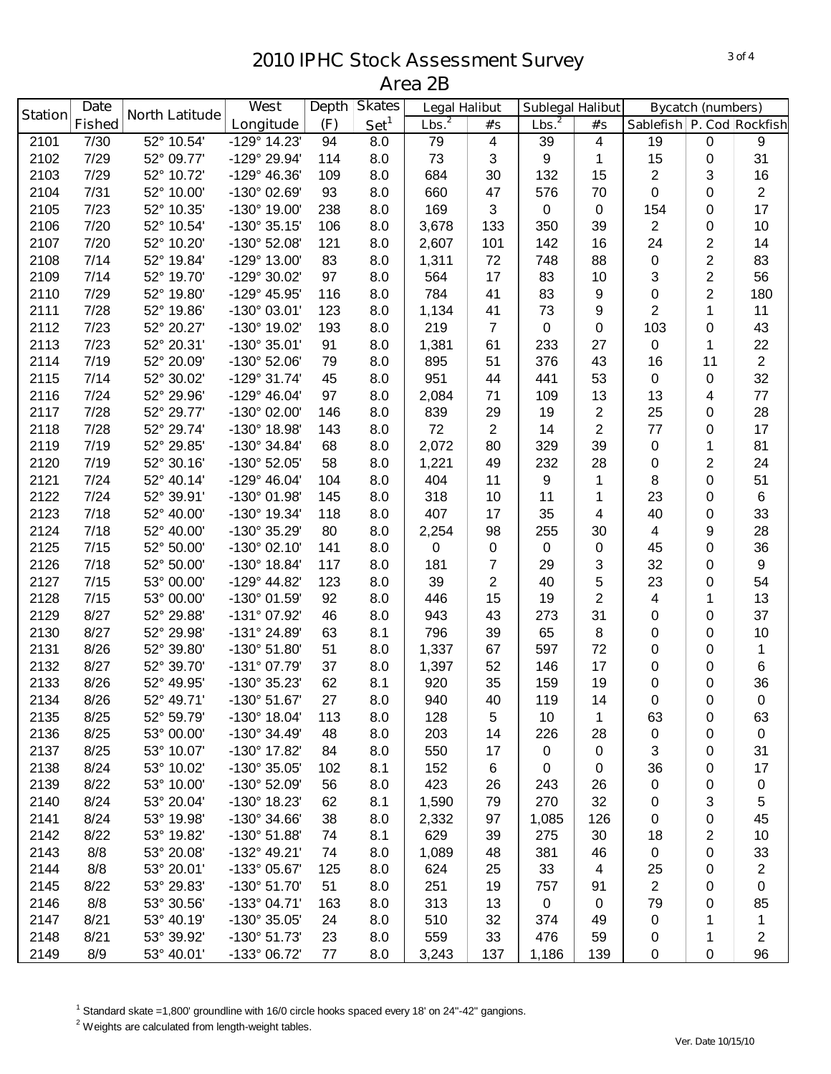|                | <b>Date</b>   |                       | <b>West</b>           | <b>Depth</b> | <b>Skates</b>    | <b>Legal Halibut</b> |                | <b>Sublegal Halibut</b> |                | <b>Bycatch (numbers)</b>  |                |                         |
|----------------|---------------|-----------------------|-----------------------|--------------|------------------|----------------------|----------------|-------------------------|----------------|---------------------------|----------------|-------------------------|
| <b>Station</b> | <b>Fished</b> | <b>North Latitude</b> | Longitude             | (F)          | Set <sup>1</sup> | Lbs. <sup>2</sup>    | #'s            | Lbs. <sup>2</sup>       | #'s            | Sablefish P. Cod Rockfish |                |                         |
| 2101           | 7/30          | 52° 10.54'            | $-129^\circ$ 14.23'   | 94           | 8.0              | 79                   | 4              | 39                      | $\overline{4}$ | 19                        | 0              | 9                       |
| 2102           | 7/29          | 52° 09.77'            | -129° 29.94'          | 114          | 8.0              | 73                   | 3              | 9                       | 1              | 15                        | 0              | 31                      |
| 2103           | 7/29          | 52° 10.72'            | -129° 46.36'          | 109          | 8.0              | 684                  | 30             | 132                     | 15             | 2                         | 3              | 16                      |
| 2104           | 7/31          | 52° 10.00'            | -130° 02.69'          | 93           | 8.0              | 660                  | 47             | 576                     | 70             | 0                         | 0              | $\overline{2}$          |
| 2105           | 7/23          | 52° 10.35'            | -130° 19.00'          | 238          | 8.0              | 169                  | 3              | 0                       | 0              | 154                       | 0              | 17                      |
| 2106           | 7/20          | 52° 10.54'            | $-130^{\circ}35.15'$  | 106          | 8.0              | 3,678                | 133            | 350                     | 39             | $\overline{2}$            | 0              | 10                      |
| 2107           | 7/20          | 52° 10.20'            | -130° 52.08'          | 121          | 8.0              | 2,607                | 101            | 142                     | 16             | 24                        | $\overline{2}$ | 14                      |
| 2108           | 7/14          | 52° 19.84'            | -129° 13.00'          | 83           | 8.0              | 1,311                | 72             | 748                     | 88             | 0                         | $\overline{2}$ | 83                      |
| 2109           | 7/14          | 52° 19.70'            | -129° 30.02'          | 97           | 8.0              | 564                  | 17             | 83                      | 10             | 3                         | $\overline{2}$ | 56                      |
| 2110           | 7/29          | 52° 19.80'            | -129° 45.95'          | 116          | 8.0              | 784                  | 41             | 83                      | 9              | 0                         | $\overline{2}$ | 180                     |
| 2111           | 7/28          | 52° 19.86'            | -130° 03.01'          | 123          | 8.0              | 1,134                | 41             | 73                      | 9              | $\overline{2}$            | 1              | 11                      |
| 2112           | 7/23          | 52° 20.27'            | -130° 19.02'          | 193          | 8.0              | 219                  | $\overline{7}$ | 0                       | 0              | 103                       | 0              | 43                      |
| 2113           | 7/23          | 52° 20.31'            | -130° 35.01'          | 91           | 8.0              | 1,381                | 61             | 233                     | 27             | $\pmb{0}$                 | 1              | 22                      |
| 2114           | 7/19          | 52° 20.09'            | -130° 52.06'          | 79           | 8.0              | 895                  | 51             | 376                     | 43             | 16                        | 11             | $\overline{2}$          |
| 2115           | 7/14          | 52° 30.02'            | -129° 31.74'          | 45           | 8.0              | 951                  | 44             | 441                     | 53             | 0                         | 0              | 32                      |
| 2116           | 7/24          | 52° 29.96'            | -129° 46.04'          | 97           | 8.0              | 2,084                | 71             | 109                     | 13             | 13                        | $\overline{4}$ | 77                      |
| 2117           | 7/28          | 52° 29.77'            | -130° 02.00'          | 146          | 8.0              | 839                  | 29             | 19                      | $\overline{2}$ | 25                        | 0              | 28                      |
| 2118           | 7/28          | 52° 29.74'            | -130° 18.98'          | 143          | 8.0              | 72                   | 2              | 14                      | $\overline{2}$ | 77                        | 0              | 17                      |
| 2119           | 7/19          | 52° 29.85'            | -130° 34.84'          | 68           | 8.0              | 2,072                | 80             | 329                     | 39             | 0                         | 1              | 81                      |
| 2120           | 7/19          | 52° 30.16'            | -130° 52.05'          | 58           | 8.0              | 1,221                | 49             | 232                     | 28             | 0                         | $\overline{2}$ | 24                      |
| 2121           | 7/24          | 52° 40.14'            | $-129^{\circ}$ 46.04' | 104          | 8.0              | 404                  | 11             | 9                       | 1              | 8                         | 0              | 51                      |
| 2122           | 7/24          | 52° 39.91'            | -130° 01.98'          | 145          | 8.0              | 318                  | 10             | 11                      | 1              | 23                        | 0              | 6                       |
| 2123           | 7/18          | 52° 40.00'            | -130° 19.34'          | 118          | 8.0              | 407                  | 17             | 35                      | 4              | 40                        | 0              | 33                      |
| 2124           | 7/18          | 52° 40.00'            | -130° 35.29'          | 80           | 8.0              | 2,254                | 98             | 255                     | 30             | 4                         | 9              | 28                      |
| 2125           | 7/15          | 52° 50.00'            | $-130^{\circ}$ 02.10' | 141          | 8.0              | 0                    | 0              | 0                       | 0              | 45                        | 0              | 36                      |
| 2126           | 7/18          | 52° 50.00'            | -130° 18.84'          | 117          | 8.0              | 181                  | 7              | 29                      | 3              | 32                        | 0              | $\boldsymbol{9}$        |
| 2127           | 7/15          | 53° 00.00'            | -129° 44.82'          | 123          | 8.0              | 39                   | 2              | 40                      | 5              | 23                        | 0              | 54                      |
| 2128           | 7/15          | 53° 00.00'            | -130° 01.59'          | 92           | 8.0              | 446                  | 15             | 19                      | $\overline{2}$ | 4                         | 1              | 13                      |
| 2129           | 8/27          | 52° 29.88'            | -131° 07.92'          | 46           | 8.0              | 943                  | 43             | 273                     | 31             | 0                         | 0              | 37                      |
| 2130           | 8/27          | 52° 29.98'            | -131° 24.89'          | 63           | 8.1              | 796                  | 39             | 65                      | 8              | 0                         | 0              | 10                      |
| 2131           | 8/26          | 52° 39.80'            | -130° 51.80'          | 51           | 8.0              | 1,337                | 67             | 597                     | 72             | 0                         | 0              | 1                       |
| 2132           | 8/27          | 52° 39.70'            | -131° 07.79'          | 37           | 8.0              | 1,397                | 52             | 146                     | 17             | 0                         | 0              | 6                       |
| 2133           | 8/26          | 52° 49.95'            | -130° 35.23'          | 62           | 8.1              | 920                  | 35             | 159                     | 19             | 0                         | 0              | 36                      |
| 2134           | 8/26          | 52° 49.71'            | -130° 51.67'          | 27           | 8.0              | 940                  | 40             | 119                     | 14             | 0                         | $\mathbf 0$    | $\Omega$                |
| 2135           | 8/25          | 52° 59.79'            | -130° 18.04'          | 113          | 8.0              | 128                  | 5              | 10                      | 1              | 63                        | 0              | 63                      |
| 2136           | 8/25          | 53° 00.00'            | -130° 34.49'          | 48           | 8.0              | 203                  | 14             | 226                     | 28             | 0                         | 0              | 0                       |
| 2137           | 8/25          | 53° 10.07'            | -130° 17.82'          | 84           | 8.0              | 550                  | 17             | 0                       | 0              | 3                         | 0              | 31                      |
| 2138           | 8/24          | 53° 10.02'            | -130° 35.05'          | 102          | 8.1              | 152                  | 6              | 0                       | 0              | 36                        | 0              | 17                      |
| 2139           | 8/22          | 53° 10.00'            | -130° 52.09'          | 56           | 8.0              | 423                  | 26             | 243                     | 26             | 0                         | 0              | $\pmb{0}$               |
| 2140           | 8/24          | 53° 20.04'            | -130° 18.23'          | 62           | 8.1              | 1,590                | 79             | 270                     | 32             | 0                         | 3              | 5                       |
| 2141           | 8/24          | 53° 19.98'            | -130° 34.66'          | 38           | 8.0              | 2,332                | 97             | 1,085                   | 126            | 0                         | 0              | 45                      |
| 2142           | 8/22          | 53° 19.82'            | $-130^{\circ} 51.88'$ | 74           | 8.1              | 629                  | 39             | 275                     | 30             | 18                        | 2              | 10                      |
| 2143           | 8/8           | 53° 20.08'            | -132° 49.21'          | 74           | 8.0              | 1,089                | 48             | 381                     | 46             | 0                         | 0              | 33                      |
| 2144           | 8/8           | 53° 20.01'            | -133° 05.67'          | 125          | 8.0              | 624                  | 25             | 33                      | 4              | 25                        | 0              | $\overline{\mathbf{c}}$ |
| 2145           | 8/22          | 53° 29.83'            | -130° 51.70'          | 51           | 8.0              | 251                  | 19             | 757                     | 91             | $\overline{2}$            | 0              | 0                       |
| 2146           | 8/8           | 53° 30.56'            | -133° 04.71'          | 163          | 8.0              | 313                  | 13             | 0                       | 0              | 79                        | 0              | 85                      |
| 2147           | 8/21          | 53° 40.19'            | -130° 35.05'          | 24           | 8.0              | 510                  | 32             | 374                     | 49             | 0                         | 1              | $\mathbf 1$             |
| 2148           | 8/21          | 53° 39.92'            | -130° 51.73'          | 23           | 8.0              | 559                  | 33             | 476                     | 59             | 0                         | 1              | $\overline{\mathbf{c}}$ |
| 2149           | 8/9           | 53° 40.01'            | -133° 06.72'          | 77           | 8.0              | 3,243                | 137            | 1,186                   | 139            | 0                         | 0              | 96                      |

Standard skate =1,800' groundline with 16/0 circle hooks spaced every 18' on 24"-42" gangions.

<sup>2</sup> Weights are calculated from length-weight tables.